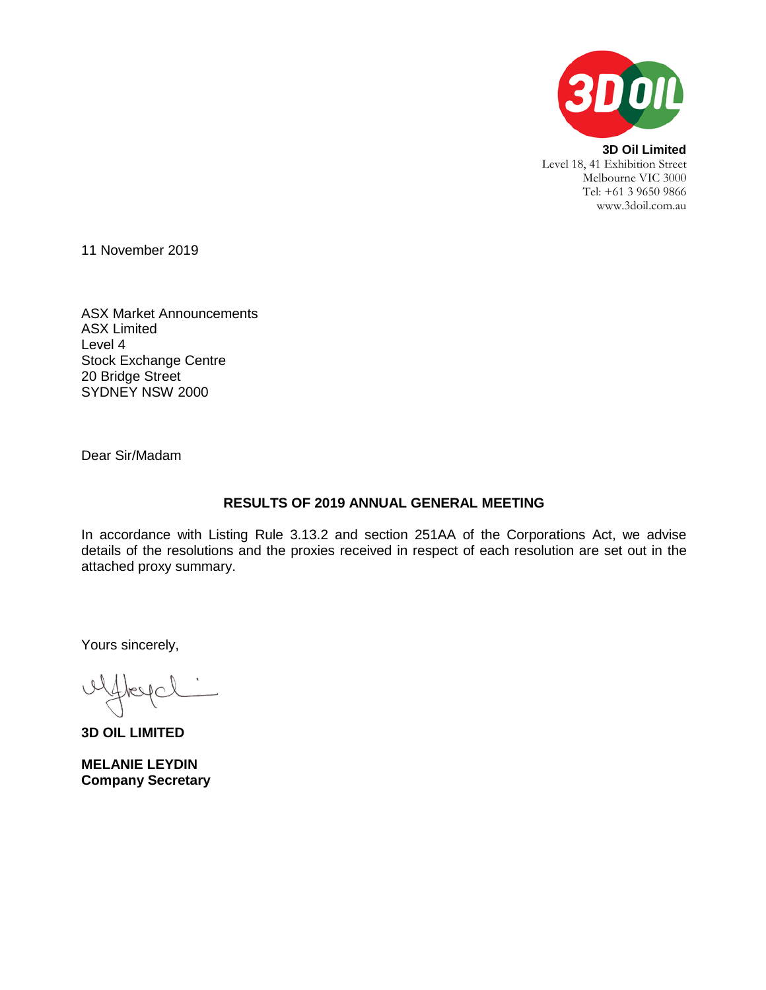

**3D Oil Limited** Level 18, 41 Exhibition Street Melbourne VIC 3000 Tel: +61 3 9650 9866 www.3doil.com.au

11 November 2019

ASX Market Announcements ASX Limited Level 4 Stock Exchange Centre 20 Bridge Street SYDNEY NSW 2000

Dear Sir/Madam

## **RESULTS OF 2019 ANNUAL GENERAL MEETING**

In accordance with Listing Rule 3.13.2 and section 251AA of the Corporations Act, we advise details of the resolutions and the proxies received in respect of each resolution are set out in the attached proxy summary.

Yours sincerely,

**3D OIL LIMITED**

**MELANIE LEYDIN Company Secretary**